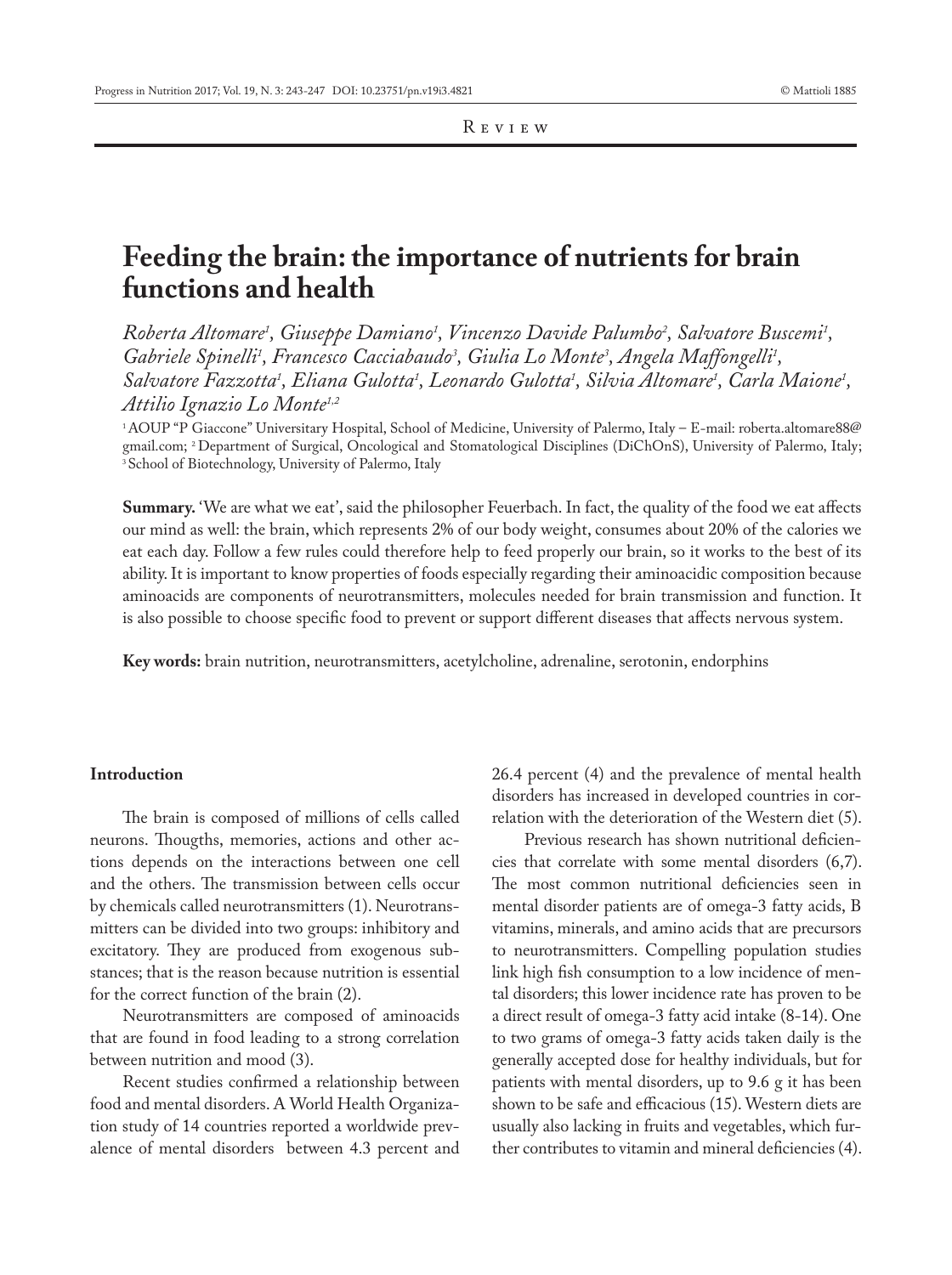# **Feeding the brain: the importance of nutrients for brain functions and health**

Roberta Altomare<sup>1</sup>, Giuseppe Damiano<sup>1</sup>, Vincenzo Davide Palumbo<sup>2</sup>, Salvatore Buscemi<sup>1</sup>, Gabriele Spinelli<sup>1</sup>, Francesco Cacciabaudo<sup>3</sup>, Giulia Lo Monte<sup>3</sup>, Angela Maffongelli<sup>1</sup>, *Salvatore Fazzotta1 , Eliana Gulotta1 , Leonardo Gulotta1 , Silvia Altomare1 , Carla Maione1 , Attilio Ignazio Lo Monte1,2*

1 AOUP "P Giaccone" Universitary Hospital, School of Medicine, University of Palermo, Italy – E-mail: roberta.altomare88@ gmail.com; 2 Department of Surgical, Oncological and Stomatological Disciplines (DiChOnS), University of Palermo, Italy; <sup>3</sup> School of Biotechnology, University of Palermo, Italy

**Summary.** 'We are what we eat', said the philosopher Feuerbach. In fact, the quality of the food we eat affects our mind as well: the brain, which represents 2% of our body weight, consumes about 20% of the calories we eat each day. Follow a few rules could therefore help to feed properly our brain, so it works to the best of its ability. It is important to know properties of foods especially regarding their aminoacidic composition because aminoacids are components of neurotransmitters, molecules needed for brain transmission and function. It is also possible to choose specific food to prevent or support different diseases that affects nervous system.

**Key words:** brain nutrition, neurotransmitters, acetylcholine, adrenaline, serotonin, endorphins

#### **Introduction**

The brain is composed of millions of cells called neurons. Thougths, memories, actions and other actions depends on the interactions between one cell and the others. The transmission between cells occur by chemicals called neurotransmitters (1). Neurotransmitters can be divided into two groups: inhibitory and excitatory. They are produced from exogenous substances; that is the reason because nutrition is essential for the correct function of the brain (2).

Neurotransmitters are composed of aminoacids that are found in food leading to a strong correlation between nutrition and mood (3).

Recent studies confirmed a relationship between food and mental disorders. A World Health Organization study of 14 countries reported a worldwide prevalence of mental disorders between 4.3 percent and 26.4 percent (4) and the prevalence of mental health disorders has increased in developed countries in correlation with the deterioration of the Western diet (5).

Previous research has shown nutritional deficiencies that correlate with some mental disorders (6,7). The most common nutritional deficiencies seen in mental disorder patients are of omega-3 fatty acids, B vitamins, minerals, and amino acids that are precursors to neurotransmitters. Compelling population studies link high fish consumption to a low incidence of mental disorders; this lower incidence rate has proven to be a direct result of omega-3 fatty acid intake (8-14). One to two grams of omega-3 fatty acids taken daily is the generally accepted dose for healthy individuals, but for patients with mental disorders, up to 9.6 g it has been shown to be safe and efficacious (15). Western diets are usually also lacking in fruits and vegetables, which further contributes to vitamin and mineral deficiencies (4).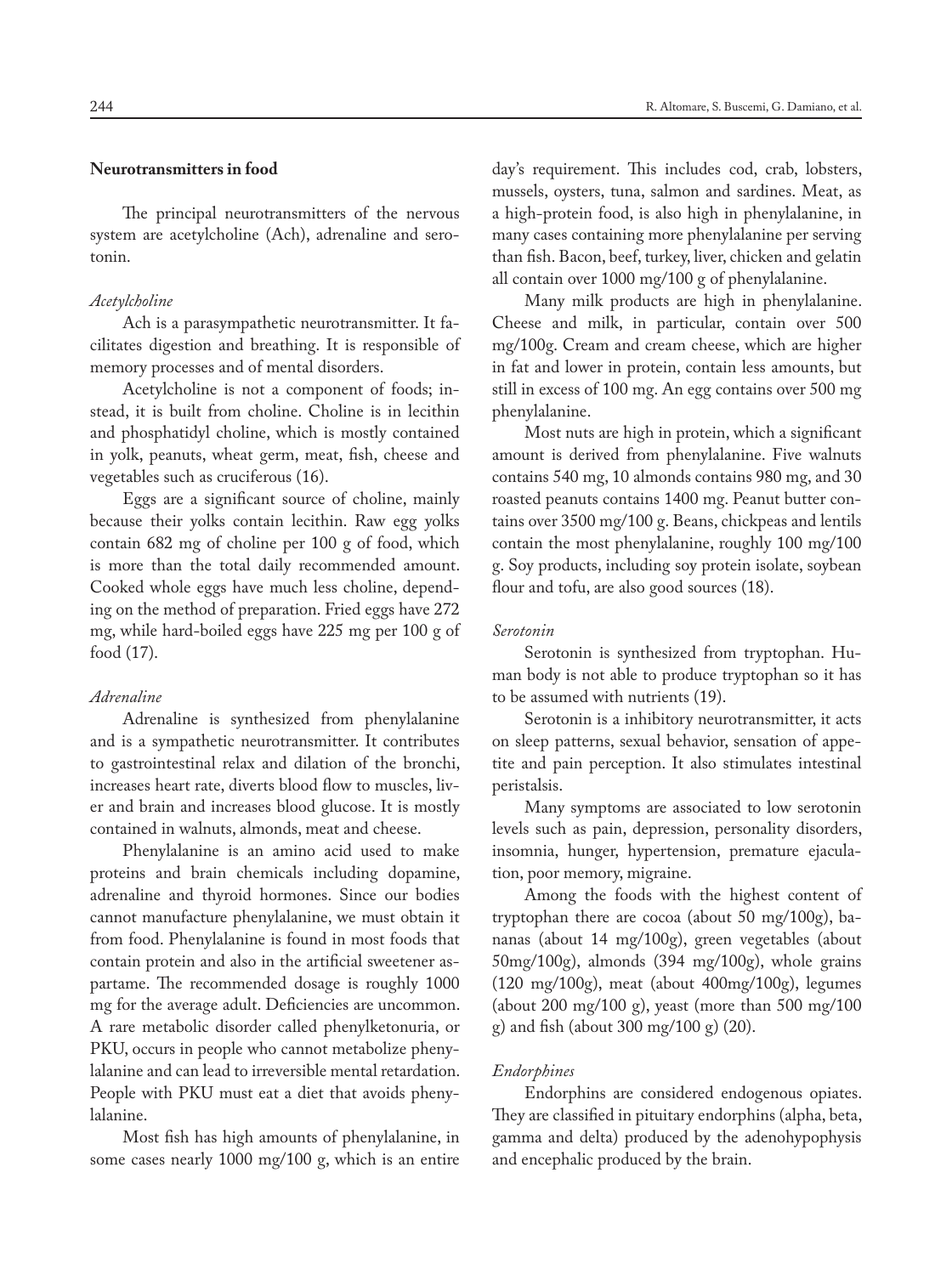The principal neurotransmitters of the nervous system are acetylcholine (Ach), adrenaline and serotonin.

#### *Acetylcholine*

Ach is a parasympathetic neurotransmitter. It facilitates digestion and breathing. It is responsible of memory processes and of mental disorders.

Acetylcholine is not a component of foods; instead, it is built from choline. Choline is in lecithin and phosphatidyl choline, which is mostly contained in yolk, peanuts, wheat germ, meat, fish, cheese and vegetables such as cruciferous (16).

Eggs are a significant source of choline, mainly because their yolks contain lecithin. Raw egg yolks contain 682 mg of choline per 100 g of food, which is more than the total daily recommended amount. Cooked whole eggs have much less choline, depending on the method of preparation. Fried eggs have 272 mg, while hard-boiled eggs have 225 mg per 100 g of food (17).

#### *Adrenaline*

Adrenaline is synthesized from phenylalanine and is a sympathetic neurotransmitter. It contributes to gastrointestinal relax and dilation of the bronchi, increases heart rate, diverts blood flow to muscles, liver and brain and increases blood glucose. It is mostly contained in walnuts, almonds, meat and cheese.

Phenylalanine is an amino acid used to make proteins and brain chemicals including dopamine, adrenaline and thyroid hormones. Since our bodies cannot manufacture phenylalanine, we must obtain it from food. Phenylalanine is found in most foods that contain protein and also in the artificial sweetener aspartame. The recommended dosage is roughly 1000 mg for the average adult. Deficiencies are uncommon. A rare metabolic disorder called phenylketonuria, or PKU, occurs in people who cannot metabolize phenylalanine and can lead to irreversible mental retardation. People with PKU must eat a diet that avoids phenylalanine.

Most fish has high amounts of phenylalanine, in some cases nearly 1000 mg/100 g, which is an entire day's requirement. This includes cod, crab, lobsters, mussels, oysters, tuna, salmon and sardines. Meat, as a high-protein food, is also high in phenylalanine, in many cases containing more phenylalanine per serving than fish. Bacon, beef, turkey, liver, chicken and gelatin all contain over 1000 mg/100 g of phenylalanine.

Many milk products are high in phenylalanine. Cheese and milk, in particular, contain over 500 mg/100g. Cream and cream cheese, which are higher in fat and lower in protein, contain less amounts, but still in excess of 100 mg. An egg contains over 500 mg phenylalanine.

Most nuts are high in protein, which a significant amount is derived from phenylalanine. Five walnuts contains 540 mg, 10 almonds contains 980 mg, and 30 roasted peanuts contains 1400 mg. Peanut butter contains over 3500 mg/100 g. Beans, chickpeas and lentils contain the most phenylalanine, roughly 100 mg/100 g. Soy products, including soy protein isolate, soybean flour and tofu, are also good sources (18).

## *Serotonin*

Serotonin is synthesized from tryptophan. Human body is not able to produce tryptophan so it has to be assumed with nutrients (19).

Serotonin is a inhibitory neurotransmitter, it acts on sleep patterns, sexual behavior, sensation of appetite and pain perception. It also stimulates intestinal peristalsis.

Many symptoms are associated to low serotonin levels such as pain, depression, personality disorders, insomnia, hunger, hypertension, premature ejaculation, poor memory, migraine.

Among the foods with the highest content of tryptophan there are cocoa (about 50 mg/100g), bananas (about 14 mg/100g), green vegetables (about 50mg/100g), almonds (394 mg/100g), whole grains (120 mg/100g), meat (about 400mg/100g), legumes (about 200 mg/100 g), yeast (more than 500 mg/100 g) and fish (about 300 mg/100 g) (20).

## *Endorphines*

Endorphins are considered endogenous opiates. They are classified in pituitary endorphins (alpha, beta, gamma and delta) produced by the adenohypophysis and encephalic produced by the brain.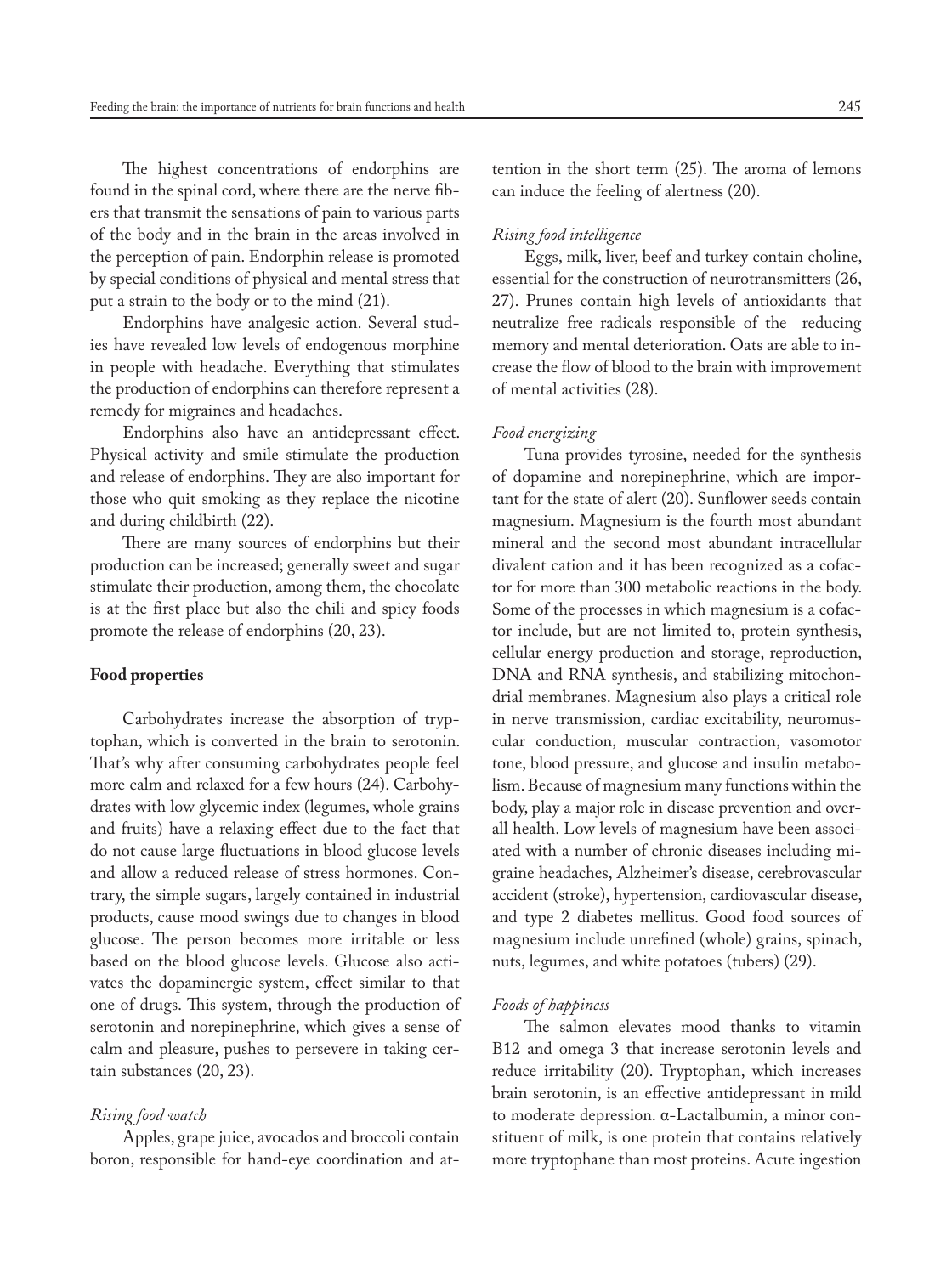The highest concentrations of endorphins are found in the spinal cord, where there are the nerve fibers that transmit the sensations of pain to various parts of the body and in the brain in the areas involved in the perception of pain. Endorphin release is promoted by special conditions of physical and mental stress that put a strain to the body or to the mind (21).

Endorphins have analgesic action. Several studies have revealed low levels of endogenous morphine in people with headache. Everything that stimulates the production of endorphins can therefore represent a remedy for migraines and headaches.

Endorphins also have an antidepressant effect. Physical activity and smile stimulate the production and release of endorphins. They are also important for those who quit smoking as they replace the nicotine and during childbirth (22).

There are many sources of endorphins but their production can be increased; generally sweet and sugar stimulate their production, among them, the chocolate is at the first place but also the chili and spicy foods promote the release of endorphins (20, 23).

### **Food properties**

Carbohydrates increase the absorption of tryptophan, which is converted in the brain to serotonin. That's why after consuming carbohydrates people feel more calm and relaxed for a few hours (24). Carbohydrates with low glycemic index (legumes, whole grains and fruits) have a relaxing effect due to the fact that do not cause large fluctuations in blood glucose levels and allow a reduced release of stress hormones. Contrary, the simple sugars, largely contained in industrial products, cause mood swings due to changes in blood glucose. The person becomes more irritable or less based on the blood glucose levels. Glucose also activates the dopaminergic system, effect similar to that one of drugs. This system, through the production of serotonin and norepinephrine, which gives a sense of calm and pleasure, pushes to persevere in taking certain substances (20, 23).

## *Rising food watch*

Apples, grape juice, avocados and broccoli contain boron, responsible for hand-eye coordination and attention in the short term (25). The aroma of lemons can induce the feeling of alertness (20).

## *Rising food intelligence*

Eggs, milk, liver, beef and turkey contain choline, essential for the construction of neurotransmitters (26, 27). Prunes contain high levels of antioxidants that neutralize free radicals responsible of the reducing memory and mental deterioration. Oats are able to increase the flow of blood to the brain with improvement of mental activities (28).

#### *Food energizing*

Tuna provides tyrosine, needed for the synthesis of dopamine and norepinephrine, which are important for the state of alert (20). Sunflower seeds contain magnesium. Magnesium is the fourth most abundant mineral and the second most abundant intracellular divalent cation and it has been recognized as a cofactor for more than 300 metabolic reactions in the body. Some of the processes in which magnesium is a cofactor include, but are not limited to, protein synthesis, cellular energy production and storage, reproduction, DNA and RNA synthesis, and stabilizing mitochondrial membranes. Magnesium also plays a critical role in nerve transmission, cardiac excitability, neuromuscular conduction, muscular contraction, vasomotor tone, blood pressure, and glucose and insulin metabolism. Because of magnesium many functions within the body, play a major role in disease prevention and overall health. Low levels of magnesium have been associated with a number of chronic diseases including migraine headaches, Alzheimer's disease, cerebrovascular accident (stroke), hypertension, cardiovascular disease, and type 2 diabetes mellitus. Good food sources of magnesium include unrefined (whole) grains, spinach, nuts, legumes, and white potatoes (tubers) (29).

## *Foods of happiness*

The salmon elevates mood thanks to vitamin B12 and omega 3 that increase serotonin levels and reduce irritability (20). Tryptophan, which increases brain serotonin, is an effective antidepressant in mild to moderate depression. α-Lactalbumin, a minor constituent of milk, is one protein that contains relatively more tryptophane than most proteins. Acute ingestion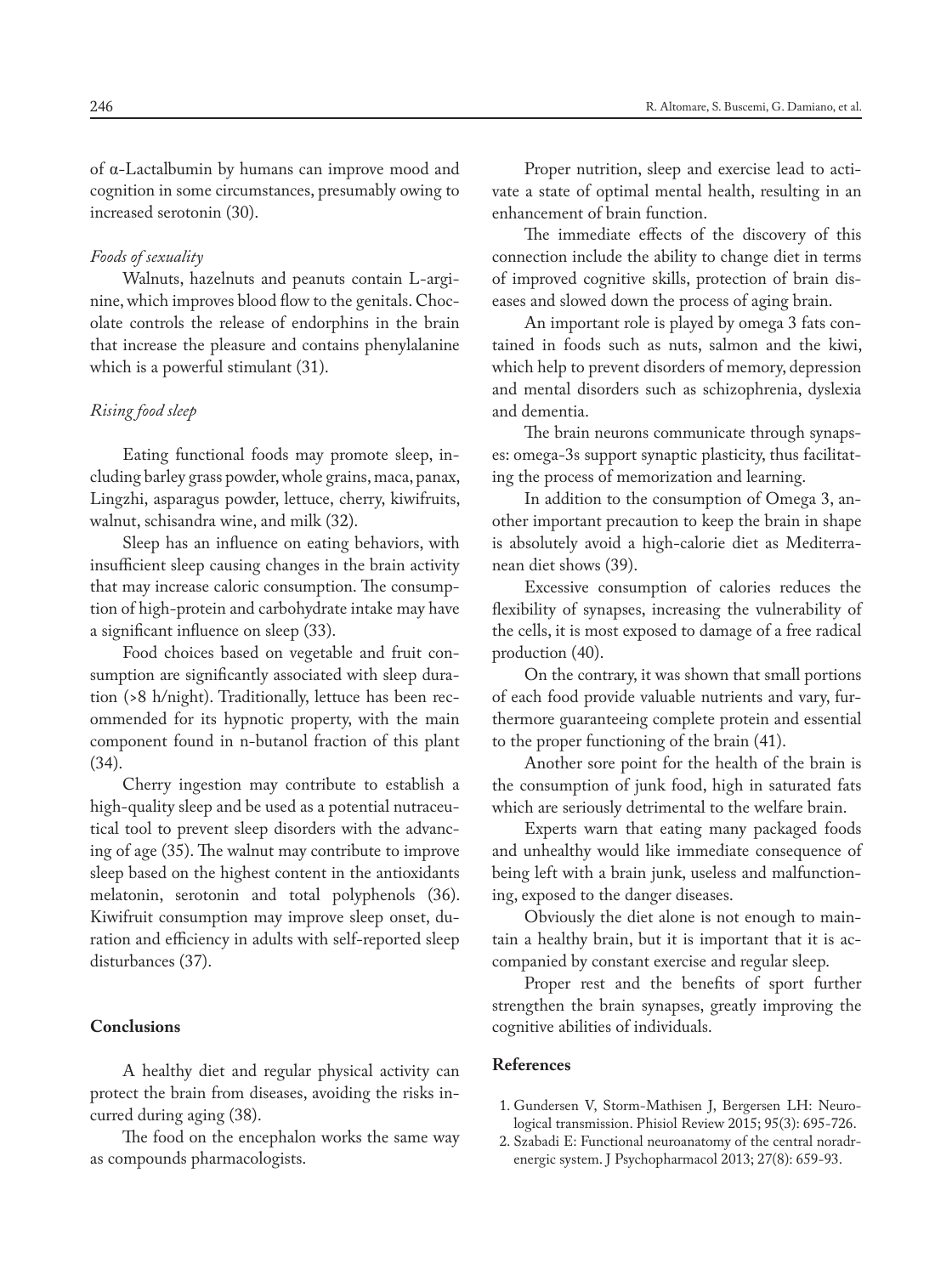of α-Lactalbumin by humans can improve mood and cognition in some circumstances, presumably owing to increased serotonin (30).

## *Foods of sexuality*

Walnuts, hazelnuts and peanuts contain L-arginine, which improves blood flow to the genitals. Chocolate controls the release of endorphins in the brain that increase the pleasure and contains phenylalanine which is a powerful stimulant (31).

## *Rising food sleep*

Eating functional foods may promote sleep, including barley grass powder, whole grains, maca, panax, Lingzhi, asparagus powder, lettuce, cherry, kiwifruits, walnut, schisandra wine, and milk (32).

Sleep has an influence on eating behaviors, with insufficient sleep causing changes in the brain activity that may increase caloric consumption. The consumption of high-protein and carbohydrate intake may have a significant influence on sleep (33).

Food choices based on vegetable and fruit consumption are significantly associated with sleep duration (>8 h/night). Traditionally, lettuce has been recommended for its hypnotic property, with the main component found in n-butanol fraction of this plant (34).

Cherry ingestion may contribute to establish a high-quality sleep and be used as a potential nutraceutical tool to prevent sleep disorders with the advancing of age (35). The walnut may contribute to improve sleep based on the highest content in the antioxidants melatonin, serotonin and total polyphenols (36). Kiwifruit consumption may improve sleep onset, duration and efficiency in adults with self-reported sleep disturbances (37).

## **Conclusions**

A healthy diet and regular physical activity can protect the brain from diseases, avoiding the risks incurred during aging (38).

The food on the encephalon works the same way as compounds pharmacologists.

Proper nutrition, sleep and exercise lead to activate a state of optimal mental health, resulting in an enhancement of brain function.

The immediate effects of the discovery of this connection include the ability to change diet in terms of improved cognitive skills, protection of brain diseases and slowed down the process of aging brain.

An important role is played by omega 3 fats contained in foods such as nuts, salmon and the kiwi, which help to prevent disorders of memory, depression and mental disorders such as schizophrenia, dyslexia and dementia.

The brain neurons communicate through synapses: omega-3s support synaptic plasticity, thus facilitating the process of memorization and learning.

In addition to the consumption of Omega 3, another important precaution to keep the brain in shape is absolutely avoid a high-calorie diet as Mediterranean diet shows (39).

Excessive consumption of calories reduces the flexibility of synapses, increasing the vulnerability of the cells, it is most exposed to damage of a free radical production (40).

On the contrary, it was shown that small portions of each food provide valuable nutrients and vary, furthermore guaranteeing complete protein and essential to the proper functioning of the brain (41).

Another sore point for the health of the brain is the consumption of junk food, high in saturated fats which are seriously detrimental to the welfare brain.

Experts warn that eating many packaged foods and unhealthy would like immediate consequence of being left with a brain junk, useless and malfunctioning, exposed to the danger diseases.

Obviously the diet alone is not enough to maintain a healthy brain, but it is important that it is accompanied by constant exercise and regular sleep.

Proper rest and the benefits of sport further strengthen the brain synapses, greatly improving the cognitive abilities of individuals.

#### **References**

- 1. Gundersen V, Storm-Mathisen J, Bergersen LH: Neurological transmission. Phisiol Review 2015; 95(3): 695-726.
- 2. Szabadi E: Functional neuroanatomy of the central noradrenergic system. J Psychopharmacol 2013; 27(8): 659-93.